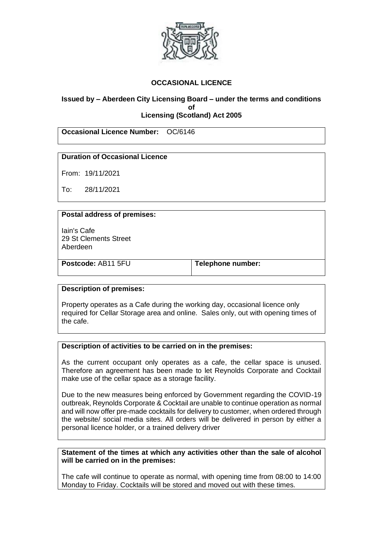

## **OCCASIONAL LICENCE**

### **Issued by – Aberdeen City Licensing Board – under the terms and conditions of Licensing (Scotland) Act 2005**

**Occasional Licence Number:** OC/6146

### **Duration of Occasional Licence**

From: 19/11/2021

To: 28/11/2021

### **Postal address of premises:**

Iain's Cafe 29 St Clements Street Aberdeen

**Postcode:** AB11 5FU **Telephone number:** 

#### **Description of premises:**

Property operates as a Cafe during the working day, occasional licence only required for Cellar Storage area and online. Sales only, out with opening times of the cafe.

#### **Description of activities to be carried on in the premises:**

As the current occupant only operates as a cafe, the cellar space is unused. Therefore an agreement has been made to let Reynolds Corporate and Cocktail make use of the cellar space as a storage facility.

Due to the new measures being enforced by Government regarding the COVID-19 outbreak, Reynolds Corporate & Cocktail are unable to continue operation as normal and will now offer pre-made cocktails for delivery to customer, when ordered through the website/ social media sites. All orders will be delivered in person by either a personal licence holder, or a trained delivery driver

**Statement of the times at which any activities other than the sale of alcohol will be carried on in the premises:**

The cafe will continue to operate as normal, with opening time from 08:00 to 14:00 Monday to Friday. Cocktails will be stored and moved out with these times.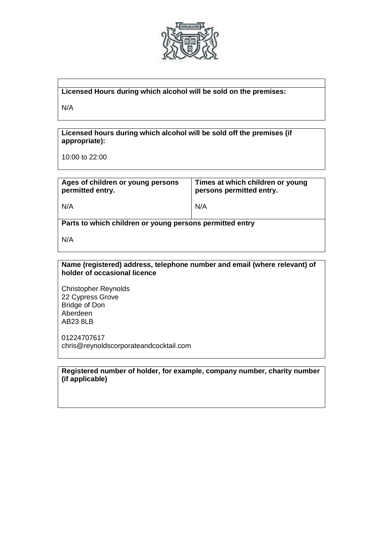

### **Licensed Hours during which alcohol will be sold on the premises:**

N/A

**Licensed hours during which alcohol will be sold off the premises (if appropriate):**

10:00 to 22:00

| Ages of children or young persons<br>permitted entry.    | Times at which children or young<br>persons permitted entry. |
|----------------------------------------------------------|--------------------------------------------------------------|
| N/A                                                      | N/A                                                          |
| Parts to which children or young persons permitted entry |                                                              |
| N/A                                                      |                                                              |

**Name (registered) address, telephone number and email (where relevant) of holder of occasional licence**

Christopher Reynolds 22 Cypress Grove Bridge of Don Aberdeen AB23 8LB

01224707617 chris@reynoldscorporateandcocktail.com

**Registered number of holder, for example, company number, charity number (if applicable)**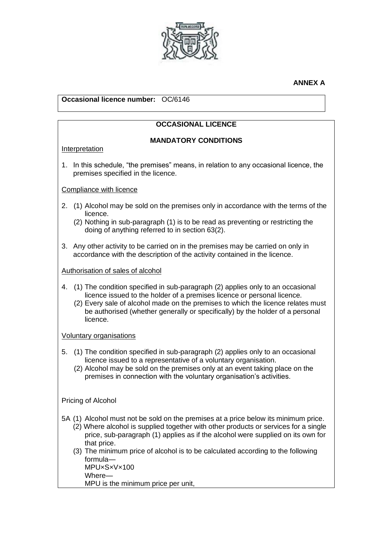

## **ANNEX A**

# **Occasional licence number:** OC/6146

# **OCCASIONAL LICENCE**

## **MANDATORY CONDITIONS**

### Interpretation

1. In this schedule, "the premises" means, in relation to any occasional licence, the premises specified in the licence.

## Compliance with licence

- 2. (1) Alcohol may be sold on the premises only in accordance with the terms of the licence.
	- (2) Nothing in sub-paragraph (1) is to be read as preventing or restricting the doing of anything referred to in section 63(2).
- 3. Any other activity to be carried on in the premises may be carried on only in accordance with the description of the activity contained in the licence.

## Authorisation of sales of alcohol

- 4. (1) The condition specified in sub-paragraph (2) applies only to an occasional licence issued to the holder of a premises licence or personal licence.
	- (2) Every sale of alcohol made on the premises to which the licence relates must be authorised (whether generally or specifically) by the holder of a personal licence.

### Voluntary organisations

- 5. (1) The condition specified in sub-paragraph (2) applies only to an occasional licence issued to a representative of a voluntary organisation.
	- (2) Alcohol may be sold on the premises only at an event taking place on the premises in connection with the voluntary organisation's activities.

### Pricing of Alcohol

- 5A (1) Alcohol must not be sold on the premises at a price below its minimum price.
	- (2) Where alcohol is supplied together with other products or services for a single price, sub-paragraph (1) applies as if the alcohol were supplied on its own for that price.
	- (3) The minimum price of alcohol is to be calculated according to the following formula— MPU×S×V×100 Where—

MPU is the minimum price per unit,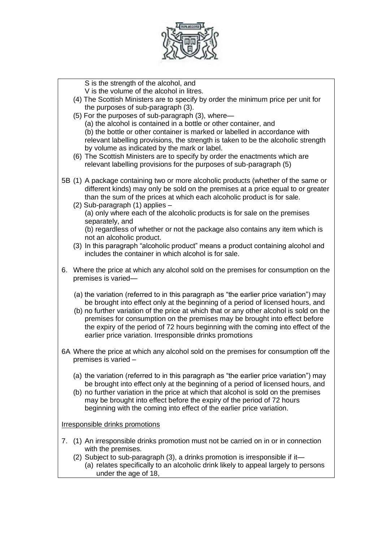

S is the strength of the alcohol, and

V is the volume of the alcohol in litres.

- (4) The Scottish Ministers are to specify by order the minimum price per unit for the purposes of sub-paragraph (3).
- (5) For the purposes of sub-paragraph (3), where—

(a) the alcohol is contained in a bottle or other container, and (b) the bottle or other container is marked or labelled in accordance with relevant labelling provisions, the strength is taken to be the alcoholic strength

- by volume as indicated by the mark or label.
- (6) The Scottish Ministers are to specify by order the enactments which are relevant labelling provisions for the purposes of sub-paragraph (5)
- 5B (1) A package containing two or more alcoholic products (whether of the same or different kinds) may only be sold on the premises at a price equal to or greater than the sum of the prices at which each alcoholic product is for sale.
	- (2) Sub-paragraph (1) applies (a) only where each of the alcoholic products is for sale on the premises separately, and (b) regardless of whether or not the package also contains any item which is

not an alcoholic product.

- (3) In this paragraph "alcoholic product" means a product containing alcohol and includes the container in which alcohol is for sale.
- 6. Where the price at which any alcohol sold on the premises for consumption on the premises is varied—
	- (a) the variation (referred to in this paragraph as "the earlier price variation") may be brought into effect only at the beginning of a period of licensed hours, and
	- (b) no further variation of the price at which that or any other alcohol is sold on the premises for consumption on the premises may be brought into effect before the expiry of the period of 72 hours beginning with the coming into effect of the earlier price variation. Irresponsible drinks promotions
- 6A Where the price at which any alcohol sold on the premises for consumption off the premises is varied –
	- (a) the variation (referred to in this paragraph as "the earlier price variation") may be brought into effect only at the beginning of a period of licensed hours, and
	- (b) no further variation in the price at which that alcohol is sold on the premises may be brought into effect before the expiry of the period of 72 hours beginning with the coming into effect of the earlier price variation.

Irresponsible drinks promotions

- 7. (1) An irresponsible drinks promotion must not be carried on in or in connection with the premises.
	- (2) Subject to sub-paragraph (3), a drinks promotion is irresponsible if it—
		- (a) relates specifically to an alcoholic drink likely to appeal largely to persons under the age of 18,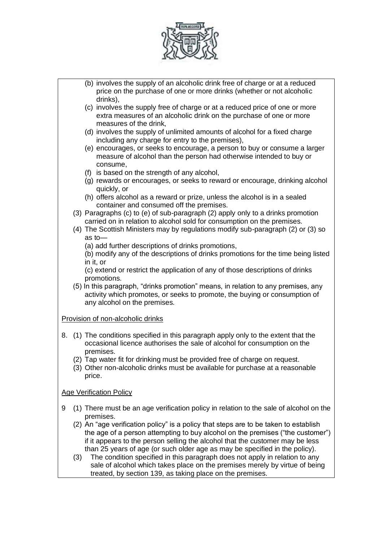

(b) involves the supply of an alcoholic drink free of charge or at a reduced price on the purchase of one or more drinks (whether or not alcoholic drinks), (c) involves the supply free of charge or at a reduced price of one or more extra measures of an alcoholic drink on the purchase of one or more measures of the drink, (d) involves the supply of unlimited amounts of alcohol for a fixed charge including any charge for entry to the premises), (e) encourages, or seeks to encourage, a person to buy or consume a larger measure of alcohol than the person had otherwise intended to buy or consume, (f) is based on the strength of any alcohol, (g) rewards or encourages, or seeks to reward or encourage, drinking alcohol quickly, or (h) offers alcohol as a reward or prize, unless the alcohol is in a sealed container and consumed off the premises. (3) Paragraphs (c) to (e) of sub-paragraph (2) apply only to a drinks promotion carried on in relation to alcohol sold for consumption on the premises. (4) The Scottish Ministers may by regulations modify sub-paragraph (2) or (3) so as to— (a) add further descriptions of drinks promotions, (b) modify any of the descriptions of drinks promotions for the time being listed in it, or (c) extend or restrict the application of any of those descriptions of drinks promotions. (5) In this paragraph, "drinks promotion" means, in relation to any premises, any activity which promotes, or seeks to promote, the buying or consumption of any alcohol on the premises. Provision of non-alcoholic drinks 8. (1) The conditions specified in this paragraph apply only to the extent that the occasional licence authorises the sale of alcohol for consumption on the premises. (2) Tap water fit for drinking must be provided free of charge on request. (3) Other non-alcoholic drinks must be available for purchase at a reasonable price. Age Verification Policy 9 (1) There must be an age verification policy in relation to the sale of alcohol on the premises. (2) An "age verification policy" is a policy that steps are to be taken to establish the age of a person attempting to buy alcohol on the premises ("the customer") if it appears to the person selling the alcohol that the customer may be less than 25 years of age (or such older age as may be specified in the policy). (3) The condition specified in this paragraph does not apply in relation to any sale of alcohol which takes place on the premises merely by virtue of being treated, by section 139, as taking place on the premises.